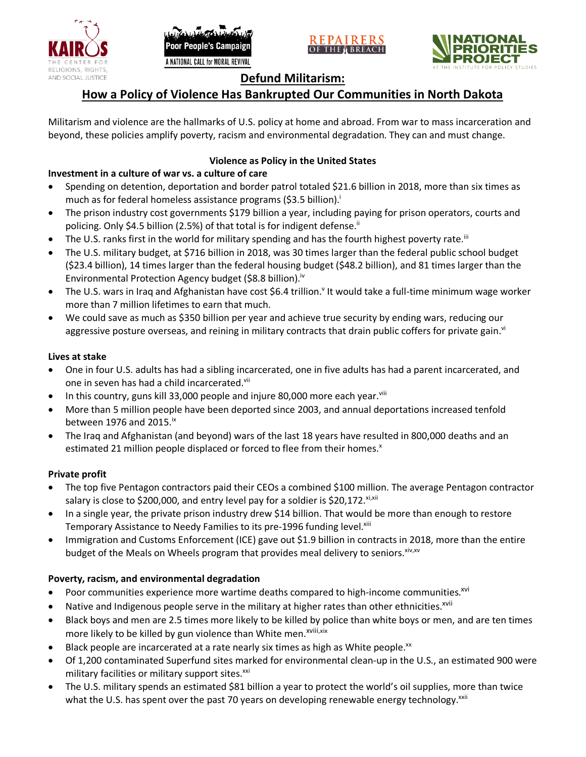





# **Defund Militarism:**

# **How a Policy of Violence Has Bankrupted Our Communities in North Dakota**

Militarism and violence are the hallmarks of U.S. policy at home and abroad. From war to mass incarceration and beyond, these policies amplify poverty, racism and environmental degradation. They can and must change.

## **Violence as Policy in the United States**

# **Investment in a culture of war vs. a culture of care**

- Spending on detention, deportation and border patrol totaled \$21.6 billion in 2018, more than six times as much as for federal homeless assistance programs (\$3.5 billion).<sup>i</sup>
- The prison industry cost governments \$179 billion a year, including paying for prison operators, courts and policing. Only \$4.5 billion (2.5%) of that total is for indigent defense.<sup>ii</sup>
- The U.S. ranks first in the world for military spending and has the fourth highest poverty rate.<sup>iii</sup>
- The U.S. military budget, at \$716 billion in 2018, was 30 times larger than the federal public school budget (\$23.4 billion), 14 times larger than the federal housing budget (\$48.2 billion), and 81 times larger than the Environmental Protection Agency budget (\$8.8 billion).<sup>iv</sup>
- The U.S. wars in Iraq and Afghanistan have cost \$6.4 trillion.<sup>v</sup> It would take a full-time minimum wage worker more than 7 million lifetimes to earn that much.
- We could save as much as \$350 billion per year and achieve true security by ending wars, reducing our aggressive posture overseas, and reining in military contracts that drain public coffers for private gain.<sup>vi</sup>

### **Lives at stake**

- One in four U.S. adults has had a sibling incarcerated, one in five adults has had a parent incarcerated, and one in seven has had a child incarcerated.vii
- In this country, guns kill 33,000 people and injure 80,000 more each year. $v_{\text{lin}}$
- More than 5 million people have been deported since 2003, and annual deportations increased tenfold between 1976 and 2015. $\mathrm{i}$ <sup>x</sup>
- The Iraq and Afghanistan (and beyond) wars of the last 18 years have resulted in 800,000 deaths and an estimated 21 million people displaced or forced to flee from their homes.<sup>x</sup>

#### **Private profit**

- The top five Pentagon contractors paid their CEOs a combined \$100 million. The average Pentagon contractor salary is close to \$200,000, and entry level pay for a soldier is \$20,172. xi,xii
- In a single year, the private prison industry drew \$14 billion. That would be more than enough to restore Temporary Assistance to Needy Families to its pre-1996 funding level.<sup>xiii</sup>
- Immigration and Customs Enforcement (ICE) gave out \$1.9 billion in contracts in 2018, more than the entire budget of the Meals on Wheels program that provides meal delivery to seniors. Xiv, XV

## **Poverty, racism, and environmental degradation**

- Poor communities experience more wartime deaths compared to high-income communities.<sup>xvi</sup>
- Native and Indigenous people serve in the military at higher rates than other ethnicities.<sup>xvii</sup>
- Black boys and men are 2.5 times more likely to be killed by police than white boys or men, and are ten times more likely to be killed by gun violence than White men.<sup>xviii,xix</sup>
- Black people are incarcerated at a rate nearly six times as high as White people.<sup>xx</sup>
- Of 1,200 contaminated Superfund sites marked for environmental clean-up in the U.S., an estimated 900 were military facilities or military support sites.<sup>xxi</sup>
- The U.S. military spends an estimated \$81 billion a year to protect the world's oil supplies, more than twice what the U.S. has spent over the past 70 years on developing renewable energy technology.<sup>xxii</sup>